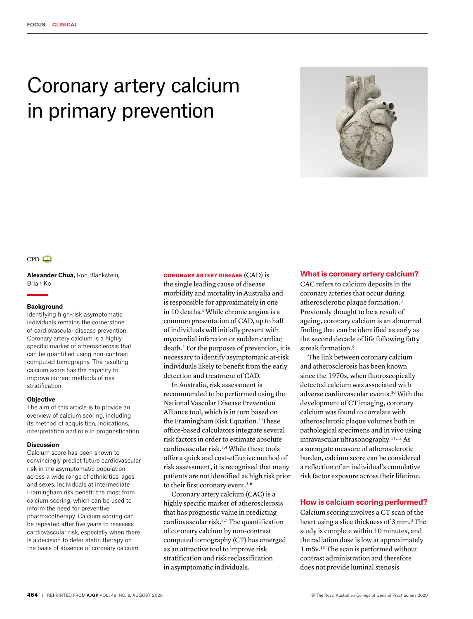# Coronary artery calcium in primary prevention





**Alexander Chua,** Ron Blankstein, Brian Ko

#### **Background**

Identifying high-risk asymptomatic individuals remains the cornerstone of cardiovascular disease prevention. Coronary artery calcium is a highly specific marker of atherosclerosis that can be quantified using non-contrast computed tomography. The resulting calcium score has the capacity to improve current methods of risk stratification.

#### **Objective**

The aim of this article is to provide an overview of calcium scoring, including its method of acquisition, indications, interpretation and role in prognostication.

#### **Discussion**

Calcium score has been shown to convincingly predict future cardiovascular risk in the asymptomatic population across a wide range of ethnicities, ages and sexes. Individuals at intermediate Framingham risk benefit the most from calcium scoring, which can be used to inform the need for preventive pharmacotherapy. Calcium scoring can be repeated after five years to reassess cardiovascular risk, especially when there is a decision to defer statin therapy on the basis of absence of coronary calcium.

#### CORONARY ARTERY DISEASE (CAD) is

the single leading cause of disease morbidity and mortality in Australia and is responsible for approximately in one in 10 deaths.<sup>1</sup> While chronic angina is a common presentation of CAD, up to half of individuals will initially present with myocardial infarction or sudden cardiac death.2 For the purposes of prevention, it is necessary to identify asymptomatic at-risk individuals likely to benefit from the early detection and treatment of CAD.

In Australia, risk assessment is recommended to be performed using the National Vascular Disease Prevention Alliance tool, which is in turn based on the Framingham Risk Equation.<sup>3</sup> These office-based calculators integrate several risk factors in order to estimate absolute cardiovascular risk.3,4 While these tools offer a quick and cost-effective method of risk assessment, it is recognised that many patients are not identified as high risk prior to their first coronary event.<sup>5,6</sup>

Coronary artery calcium (CAC) is a highly specific marker of atherosclerosis that has prognostic value in predicting cardiovascular risk.3,7 The quantification of coronary calcium by non-contrast computed tomography (CT) has emerged as an attractive tool to improve risk stratification and risk reclassification in asymptomatic individuals.

#### **What is coronary artery calcium?**

CAC refers to calcium deposits in the coronary arteries that occur during atherosclerotic plaque formation.8 Previously thought to be a result of ageing, coronary calcium is an abnormal finding that can be identified as early as the second decade of life following fatty streak formation.<sup>9</sup>

The link between coronary calcium and atherosclerosis has been known since the 1970s, when fluoroscopically detected calcium was associated with adverse cardiovascular events.10 With the development of CT imaging, coronary calcium was found to correlate with atherosclerotic plaque volumes both in pathological specimens and in vivo using intravascular ultrasonography.11,12 As a surrogate measure of atherosclerotic burden, calcium score can be considered a reflection of an individual's cumulative risk factor exposure across their lifetime.

# **How is calcium scoring performed?**

Calcium scoring involves a CT scan of the heart using a slice thickness of 3 mm.<sup>3</sup> The study is complete within 10 minutes, and the radiation dose is low at approximately 1 mSv.13 The scan is performed without contrast administration and therefore does not provide luminal stenosis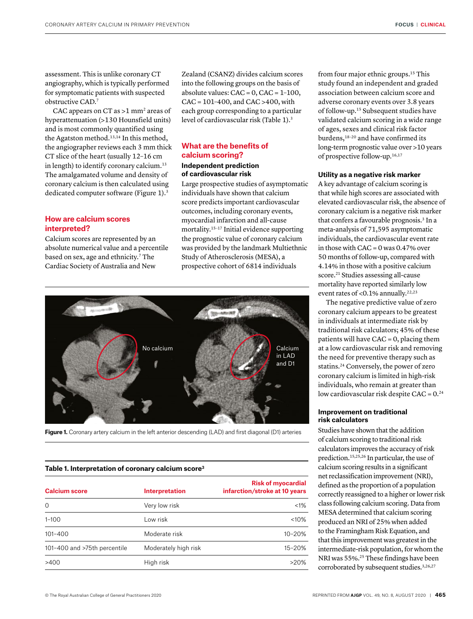assessment. This is unlike coronary CT angiography, which is typically performed for symptomatic patients with suspected obstructive CAD.7

CAC appears on CT as  $>1$  mm<sup>2</sup> areas of hyperattenuation (>130 Hounsfield units) and is most commonly quantified using the Agatston method.<sup>13,14</sup> In this method, the angiographer reviews each 3 mm thick CT slice of the heart (usually 12–16 cm in length) to identify coronary calcium.<sup>13</sup> The amalgamated volume and density of coronary calcium is then calculated using dedicated computer software (Figure 1).<sup>3</sup>

# **How are calcium scores interpreted?**

Calcium scores are represented by an absolute numerical value and a percentile based on sex, age and ethnicity.<sup>7</sup> The Cardiac Society of Australia and New

Zealand (CSANZ) divides calcium scores into the following groups on the basis of absolute values:  $CAC = 0$ ,  $CAC = 1-100$ , CAC = 101–400, and CAC >400, with each group corresponding to a particular level of cardiovascular risk (Table 1).3

# **What are the benefits of calcium scoring? Independent prediction of cardiovascular risk**

Large prospective studies of asymptomatic individuals have shown that calcium score predicts important cardiovascular outcomes, including coronary events, myocardial infarction and all-cause mortality.<sup>15-17</sup> Initial evidence supporting the prognostic value of coronary calcium was provided by the landmark Multiethnic Study of Atherosclerosis (MESA), a prospective cohort of 6814 individuals



Figure 1. Coronary artery calcium in the left anterior descending (LAD) and first diagonal (D1) arteries

#### **Table 1. Interpretation of coronary calcium score3**

| <b>Calcium score</b>         | <b>Interpretation</b> | <b>Risk of myocardial</b><br>infarction/stroke at 10 years |
|------------------------------|-----------------------|------------------------------------------------------------|
| $\Omega$                     | Very low risk         | $< 1\%$                                                    |
| $1 - 100$                    | Low risk              | $<10\%$                                                    |
| $101 - 400$                  | Moderate risk         | 10-20%                                                     |
| 101-400 and >75th percentile | Moderately high risk  | 15-20%                                                     |
| >400                         | High risk             | $>20\%$                                                    |

from four major ethnic groups.15 This study found an independent and graded association between calcium score and adverse coronary events over 3.8 years of follow-up.15 Subsequent studies have validated calcium scoring in a wide range of ages, sexes and clinical risk factor burdens,<sup>18-20</sup> and have confirmed its long-term prognostic value over >10 years of prospective follow-up.16,17

## **Utility as a negative risk marker**

A key advantage of calcium scoring is that while high scores are associated with elevated cardiovascular risk, the absence of coronary calcium is a negative risk marker that confers a favourable prognosis.<sup>3</sup> In a meta-analysis of 71,595 asymptomatic individuals, the cardiovascular event rate in those with  $CAC = 0$  was 0.47% over 50 months of follow-up, compared with 4.14% in those with a positive calcium score.<sup>21</sup> Studies assessing all-cause mortality have reported similarly low event rates of <0.1% annually.<sup>22,23</sup>

The negative predictive value of zero coronary calcium appears to be greatest in individuals at intermediate risk by traditional risk calculators; 45% of these patients will have  $CAC = 0$ , placing them at a low cardiovascular risk and removing the need for preventive therapy such as statins.24 Conversely, the power of zero coronary calcium is limited in high-risk individuals, who remain at greater than low cardiovascular risk despite  $CAC = 0.^{24}$ 

## **Improvement on traditional risk calculators**

Studies have shown that the addition of calcium scoring to traditional risk calculators improves the accuracy of risk prediction.15,25,26 In particular, the use of calcium scoring results in a significant net reclassification improvement (NRI), defined as the proportion of a population correctly reassigned to a higher or lower risk class following calcium scoring. Data from MESA determined that calcium scoring produced an NRI of 25% when added to the Framingham Risk Equation, and that this improvement was greatest in the intermediate-risk population, for whom the NRI was 55%.25 These findings have been corroborated by subsequent studies.<sup>3,26,27</sup>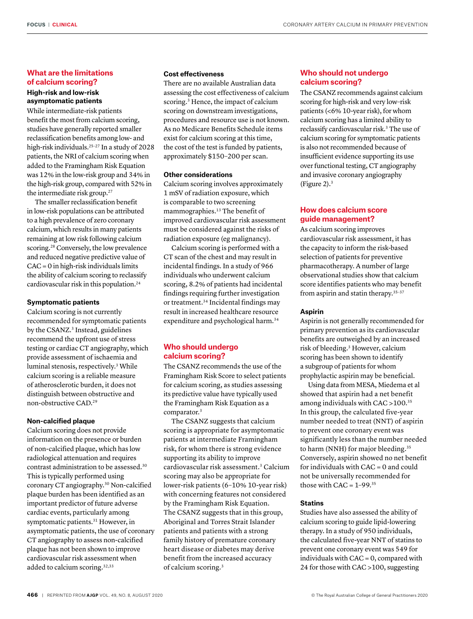# **What are the limitations of calcium scoring?**

# **High-risk and low-risk asymptomatic patients**

While intermediate-risk patients benefit the most from calcium scoring, studies have generally reported smaller reclassification benefits among low- and high-risk individuals.<sup>25-27</sup> In a study of 2028 patients, the NRI of calcium scoring when added to the Framingham Risk Equation was 12% in the low-risk group and 34% in the high-risk group, compared with 52% in the intermediate risk group.<sup>27</sup>

The smaller reclassification benefit in low-risk populations can be attributed to a high prevalence of zero coronary calcium, which results in many patients remaining at low risk following calcium scoring.<sup>28</sup> Conversely, the low prevalence and reduced negative predictive value of CAC = 0 in high-risk individuals limits the ability of calcium scoring to reclassify cardiovascular risk in this population.24

#### **Symptomatic patients**

Calcium scoring is not currently recommended for symptomatic patients by the CSANZ.<sup>3</sup> Instead, guidelines recommend the upfront use of stress testing or cardiac CT angiography, which provide assessment of ischaemia and luminal stenosis, respectively.3 While calcium scoring is a reliable measure of atherosclerotic burden, it does not distinguish between obstructive and non-obstructive CAD.29

## **Non-calcified plaque**

Calcium scoring does not provide information on the presence or burden of non-calcified plaque, which has low radiological attenuation and requires contrast administration to be assessed.30 This is typically performed using coronary CT angiography.30 Non-calcified plaque burden has been identified as an important predictor of future adverse cardiac events, particularly among symptomatic patients.<sup>31</sup> However, in asymptomatic patients, the use of coronary CT angiography to assess non-calcified plaque has not been shown to improve cardiovascular risk assessment when added to calcium scoring.<sup>32,33</sup>

## **Cost effectiveness**

There are no available Australian data assessing the cost effectiveness of calcium scoring.<sup>3</sup> Hence, the impact of calcium scoring on downstream investigations, procedures and resource use is not known. As no Medicare Benefits Schedule items exist for calcium scoring at this time, the cost of the test is funded by patients, approximately \$150–200 per scan.

## **Other considerations**

Calcium scoring involves approximately 1 mSV of radiation exposure, which is comparable to two screening mammographies.<sup>13</sup> The benefit of improved cardiovascular risk assessment must be considered against the risks of radiation exposure (eg malignancy).

Calcium scoring is performed with a CT scan of the chest and may result in incidental findings. In a study of 966 individuals who underwent calcium scoring, 8.2% of patients had incidental findings requiring further investigation or treatment.34 Incidental findings may result in increased healthcare resource expenditure and psychological harm.<sup>34</sup>

# **Who should undergo calcium scoring?**

The CSANZ recommends the use of the Framingham Risk Score to select patients for calcium scoring, as studies assessing its predictive value have typically used the Framingham Risk Equation as a comparator.3

The CSANZ suggests that calcium scoring is appropriate for asymptomatic patients at intermediate Framingham risk, for whom there is strong evidence supporting its ability to improve cardiovascular risk assessment.3 Calcium scoring may also be appropriate for lower-risk patients (6–10% 10-year risk) with concerning features not considered by the Framingham Risk Equation. The CSANZ suggests that in this group, Aboriginal and Torres Strait Islander patients and patients with a strong family history of premature coronary heart disease or diabetes may derive benefit from the increased accuracy of calcium scoring.3

# **Who should not undergo calcium scoring?**

The CSANZ recommends against calcium scoring for high-risk and very low–risk patients (<6% 10-year risk), for whom calcium scoring has a limited ability to reclassify cardiovascular risk.3 The use of calcium scoring for symptomatic patients is also not recommended because of insufficient evidence supporting its use over functional testing, CT angiography and invasive coronary angiography (Figure 2).3

# **How does calcium score guide management?**

As calcium scoring improves cardiovascular risk assessment, it has the capacity to inform the risk-based selection of patients for preventive pharmacotherapy. A number of large observational studies show that calcium score identifies patients who may benefit from aspirin and statin therapy.35–37

#### **Aspirin**

Aspirin is not generally recommended for primary prevention as its cardiovascular benefits are outweighed by an increased risk of bleeding.3 However, calcium scoring has been shown to identify a subgroup of patients for whom prophylactic aspirin may be beneficial.

Using data from MESA, Miedema et al showed that aspirin had a net benefit among individuals with CAC >100.35 In this group, the calculated five-year number needed to treat (NNT) of aspirin to prevent one coronary event was significantly less than the number needed to harm (NNH) for major bleeding.<sup>35</sup> Conversely, aspirin showed no net benefit for individuals with CAC = 0 and could not be universally recommended for those with  $CAC = 1-99.35$ 

## **Statins**

Studies have also assessed the ability of calcium scoring to guide lipid-lowering therapy. In a study of 950 individuals, the calculated five-year NNT of statins to prevent one coronary event was 549 for individuals with CAC = 0, compared with 24 for those with CAC >100, suggesting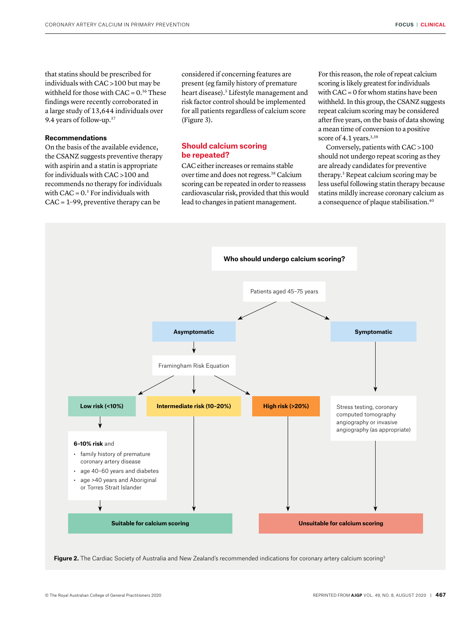that statins should be prescribed for individuals with CAC >100 but may be withheld for those with  $CAC = 0.36$  These findings were recently corroborated in a large study of 13,644 individuals over 9.4 years of follow-up.37

#### **Recommendations**

On the basis of the available evidence, the CSANZ suggests preventive therapy with aspirin and a statin is appropriate for individuals with CAC >100 and recommends no therapy for individuals with  $CAC = 0.3$  For individuals with CAC = 1–99, preventive therapy can be

considered if concerning features are present (eg family history of premature heart disease).3 Lifestyle management and risk factor control should be implemented for all patients regardless of calcium score (Figure 3).

# **Should calcium scoring be repeated?**

CAC either increases or remains stable over time and does not regress.38 Calcium scoring can be repeated in order to reassess cardiovascular risk, provided that this would lead to changes in patient management.

For this reason, the role of repeat calcium scoring is likely greatest for individuals with CAC = 0 for whom statins have been withheld. In this group, the CSANZ suggests repeat calcium scoring may be considered after five years, on the basis of data showing a mean time of conversion to a positive score of 4.1 years.<sup>3,39</sup>

Conversely, patients with CAC >100 should not undergo repeat scoring as they are already candidates for preventive therapy.3 Repeat calcium scoring may be less useful following statin therapy because statins mildly increase coronary calcium as a consequence of plaque stabilisation.40



Figure 2. The Cardiac Society of Australia and New Zealand's recommended indications for coronary artery calcium scoring<sup>3</sup>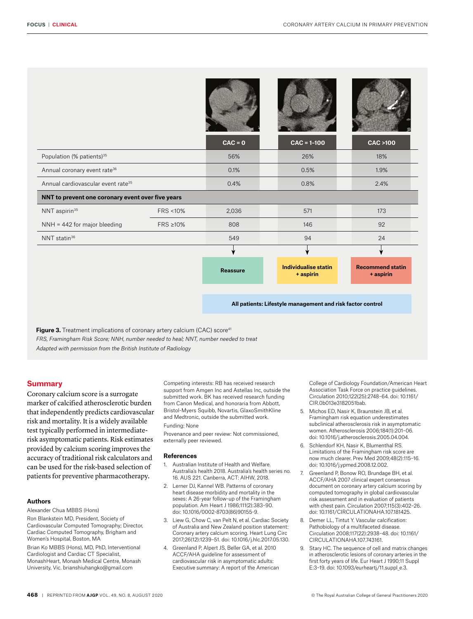|                                                   |                    | <b>Reassure</b> | <b>Individualise statin</b><br>+ aspirin | <b>Recommend statin</b><br>+ aspirin |
|---------------------------------------------------|--------------------|-----------------|------------------------------------------|--------------------------------------|
|                                                   |                    |                 |                                          |                                      |
| NNT statin <sup>36</sup>                          |                    | 549             | 94                                       | 24                                   |
| NNH = 442 for major bleeding                      | FRS ≥10%           | 808             | 146                                      | 92                                   |
| NNT aspirin <sup>35</sup>                         | <b>FRS &lt;10%</b> | 2,036           | 571                                      | 173                                  |
| NNT to prevent one coronary event over five years |                    |                 |                                          |                                      |
| Annual cardiovascular event rate <sup>35</sup>    |                    | 0.4%            | 0.8%                                     | 2.4%                                 |
| Annual coronary event rate <sup>36</sup>          |                    | 0.1%            | 0.5%                                     | 1.9%                                 |
| Population (% patients) <sup>35</sup>             |                    | 56%             | 26%                                      | 18%                                  |
|                                                   |                    | $CAC = 0$       | $CAC = 1-100$                            | <b>CAC &gt;100</b>                   |
|                                                   |                    |                 |                                          |                                      |

**Figure 3.** Treatment implications of coronary artery calcium (CAC) score<sup>41</sup> *FRS, Framingham Risk Score; NNH, number needed to heal; NNT, number needed to treat Adapted with permission from the British Institute of Radiology*

#### **Summary**

Coronary calcium score is a surrogate marker of calcified atherosclerotic burden that independently predicts cardiovascular risk and mortality. It is a widely available test typically performed in intermediaterisk asymptomatic patients. Risk estimates provided by calcium scoring improves the accuracy of traditional risk calculators and can be used for the risk-based selection of patients for preventive pharmacotherapy.

## **Authors**

Alexander Chua MBBS (Hons) Ron Blankstein MD, President, Society of Cardiovascular Computed Tomography; Director, Cardiac Computed Tomography, Brigham and Women's Hospital, Boston, MA

Brian Ko MBBS (Hons), MD, PhD, Interventional Cardiologist and Cardiac CT Specialist, MonashHeart, Monash Medical Centre, Monash University, Vic. brianshiuhangko@gmail.com

Competing interests: RB has received research support from Amgen Inc and Astellas Inc, outside the submitted work. BK has received research funding from Canon Medical, and honoraria from Abbott, Bristol-Myers Squibb, Novartis, GlaxoSmithKline and Medtronic, outside the submitted work. Funding: None

Provenance and peer review: Not commissioned, externally peer reviewed.

#### **References**

- 1. Australian Institute of Health and Welfare. Australia's health 2018. Australia's health series no. 16. AUS 221. Canberra, ACT: AIHW, 2018.
- 2. Lerner DJ, Kannel WB. Patterns of coronary heart disease morbidity and mortality in the sexes: A 26-year follow-up of the Framingham population. Am Heart J 1986;111(2):383–90. doi: 10.1016/0002-8703(86)90155-9.
- Liew G, Chow C, van Pelt N, et al. Cardiac Society of Australia and New Zealand position statement: Coronary artery calcium scoring. Heart Lung Circ 2017;26(12):1239–51. doi: 10.1016/j.hlc.2017.05.130.
- 4. Greenland P, Alpert JS, Beller GA, et al. 2010 ACCF/AHA guideline for assessment of cardiovascular risk in asymptomatic adults: Executive summary: A report of the American

College of Cardiology Foundation/American Heart Association Task Force on practice guidelines. Circulation 2010;122(25):2748–64. doi: 10.1161/ CIR.0b013e3182051bab.

- 5. Michos ED, Nasir K, Braunstein JB, et al. Framingham risk equation underestimates subclinical atherosclerosis risk in asymptomatic women. Atherosclerosis 2006;184(1):201–06. doi: 10.1016/j.atherosclerosis.2005.04.004.
- 6. Schlendorf KH, Nasir K, Blumenthal RS. Limitations of the Framingham risk score are now much clearer. Prev Med 2009;48(2):115–16. doi: 10.1016/j.ypmed.2008.12.002.
- 7. Greenland P, Bonow RO, Brundage BH, et al. ACCF/AHA 2007 clinical expert consensus document on coronary artery calcium scoring by computed tomography in global cardiovascular risk assessment and in evaluation of patients with chest pain. Circulation 2007;115(3):402–26. doi: 10.1161/CIRCULATIONAHA.107.181425.
- 8. Demer LL, Tintut Y. Vascular calcification: Pathobiology of a multifaceted disease. Circulation 2008;117(22):2938–48. doi: 10.1161/ CIRCULATIONAHA.107.743161.
- 9. Stary HC. The sequence of cell and matrix changes in atherosclerotic lesions of coronary arteries in the first forty years of life. Eur Heart J 1990;11 Suppl E:3–19. doi: 10.1093/eurheartj/11.suppl\_e.3.